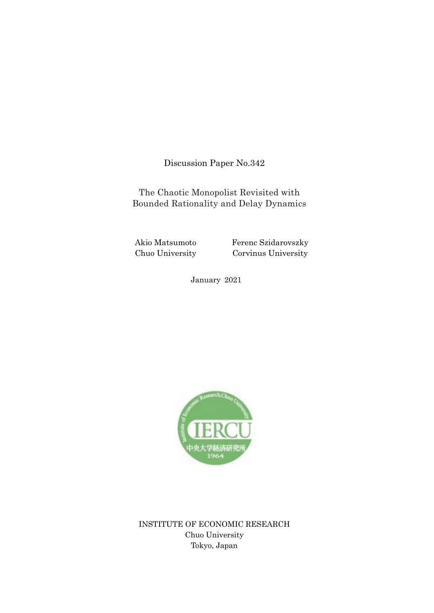Discussion Paper No.342

The Chaotic Monopolist Revisited with Bounded Rationality and Delay Dynamics

Akio Matsumoto Chuo University Ferenc Szidarovszky Corvinus University

January 2021



INSTITUTE OF ECONOMIC RESEARCH Chuo University Tokyo, Japan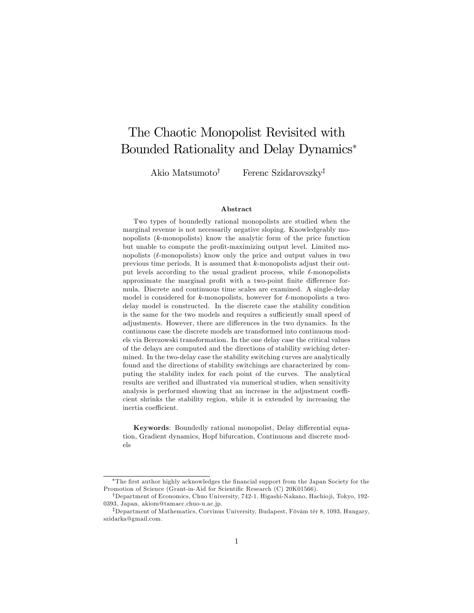# The Chaotic Monopolist Revisited with Bounded Rationality and Delay Dynamics

Akio Matsumoto<sup>†</sup> Ferenc Szidarovszky<sup>‡</sup>

#### Abstract

Two types of boundedly rational monopolists are studied when the marginal revenue is not necessarily negative sloping. Knowledgeably monopolists (k-monopolists) know the analytic form of the price function but unable to compute the profit-maximizing output level. Limited monopolists  $(\ell$ -monopolists) know only the price and output values in two previous time periods. It is assumed that k-monopolists adjust their output levels according to the usual gradient process, while  $\ell$ -monopolists approximate the marginal profit with a two-point finite difference formula. Discrete and continuous time scales are examined. A single-delay model is considered for  $k$ -monopolists, however for  $\ell$ -monopolists a twodelay model is constructed. In the discrete case the stability condition is the same for the two models and requires a sufficiently small speed of adjustments. However, there are differences in the two dynamics. In the continuous case the discrete models are transformed into continuous models via Berezowski transformation. In the one delay case the critical values of the delays are computed and the directions of stability swiching determined. In the two-delay case the stability switching curves are analytically found and the directions of stability switchings are characterized by computing the stability index for each point of the curves. The analytical results are verified and illustrated via numerical studies, when sensitivity analysis is performed showing that an increase in the adjustment coefficient shrinks the stability region, while it is extended by increasing the inertia coefficient.

Keywords: Boundedly rational monopolist, Delay differential equation, Gradient dynamics, Hopf bifurcation, Continuous and discrete models

<sup>\*</sup>The first author highly acknowledges the financial support from the Japan Society for the Promotion of Science (Grant-in-Aid for Scientific Research (C) 20K01566).

<sup>&</sup>lt;sup>†</sup>Department of Economics, Chuo University, 742-1, Higashi-Nakano, Hachio ji, Tokyo, 192-0393, Japan, akiom@tamacc.chuo-u.ac.jp.

<sup>&</sup>lt;sup>‡</sup>Department of Mathematics, Corvinus University, Budapest, Fövám tér 8, 1093, Hungary, szidarka@gmail.com.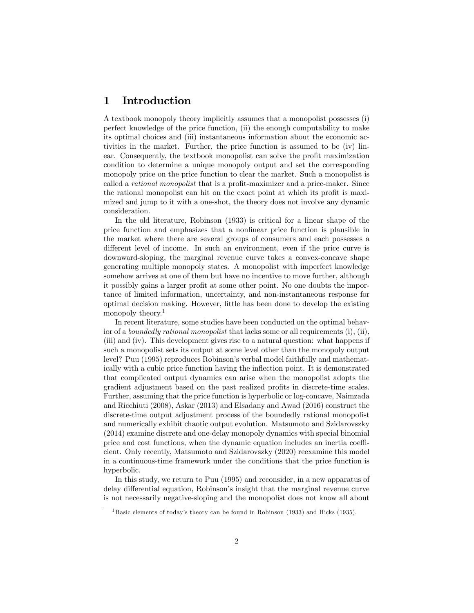### 1 Introduction

A textbook monopoly theory implicitly assumes that a monopolist possesses (i) perfect knowledge of the price function, (ii) the enough computability to make its optimal choices and (iii) instantaneous information about the economic activities in the market. Further, the price function is assumed to be (iv) linear. Consequently, the textbook monopolist can solve the profit maximization condition to determine a unique monopoly output and set the corresponding monopoly price on the price function to clear the market. Such a monopolist is called a *rational monopolist* that is a profit-maximizer and a price-maker. Since the rational monopolist can hit on the exact point at which its profit is maximized and jump to it with a one-shot, the theory does not involve any dynamic consideration.

In the old literature, Robinson (1933) is critical for a linear shape of the price function and emphasizes that a nonlinear price function is plausible in the market where there are several groups of consumers and each possesses a different level of income. In such an environment, even if the price curve is downward-sloping, the marginal revenue curve takes a convex-concave shape generating multiple monopoly states. A monopolist with imperfect knowledge somehow arrives at one of them but have no incentive to move further, although it possibly gains a larger profit at some other point. No one doubts the importance of limited information, uncertainty, and non-instantaneous response for optimal decision making. However, little has been done to develop the existing monopoly theory.<sup>1</sup>

In recent literature, some studies have been conducted on the optimal behavior of a *boundedly rational monopolist* that lacks some or all requirements (i), (ii), (iii) and (iv). This development gives rise to a natural question: what happens if such a monopolist sets its output at some level other than the monopoly output level? Puu (1995) reproduces Robinsonís verbal model faithfully and mathematically with a cubic price function having the inflection point. It is demonstrated that complicated output dynamics can arise when the monopolist adopts the gradient adjustment based on the past realized profits in discrete-time scales. Further, assuming that the price function is hyperbolic or log-concave, Naimzada and Ricchiuti (2008), Askar (2013) and Elsadany and Awad (2016) construct the discrete-time output adjustment process of the boundedly rational monopolist and numerically exhibit chaotic output evolution. Matsumoto and Szidarovszky (2014) examine discrete and one-delay monopoly dynamics with special binomial price and cost functions, when the dynamic equation includes an inertia coefficient. Only recently, Matsumoto and Szidarovszky (2020) reexamine this model in a continuous-time framework under the conditions that the price function is hyperbolic.

In this study, we return to Puu (1995) and reconsider, in a new apparatus of delay differential equation, Robinson's insight that the marginal revenue curve is not necessarily negative-sloping and the monopolist does not know all about

<sup>&</sup>lt;sup>1</sup> Basic elements of today's theory can be found in Robinson (1933) and Hicks (1935).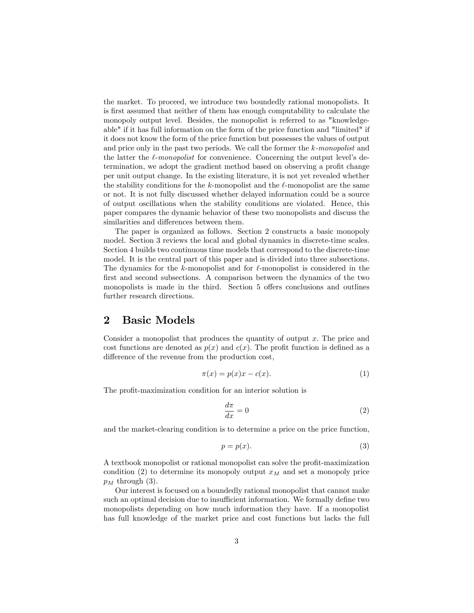the market. To proceed, we introduce two boundedly rational monopolists. It is first assumed that neither of them has enough computability to calculate the monopoly output level. Besides, the monopolist is referred to as "knowledgeable" if it has full information on the form of the price function and "limited" if it does not know the form of the price function but possesses the values of output and price only in the past two periods. We call the former the k-monopolist and the latter the  $\ell$ -monopolist for convenience. Concerning the output level's determination, we adopt the gradient method based on observing a profit change per unit output change. In the existing literature, it is not yet revealed whether the stability conditions for the k-monopolist and the  $\ell$ -monopolist are the same or not. It is not fully discussed whether delayed information could be a source of output oscillations when the stability conditions are violated. Hence, this paper compares the dynamic behavior of these two monopolists and discuss the similarities and differences between them.

The paper is organized as follows. Section 2 constructs a basic monopoly model. Section 3 reviews the local and global dynamics in discrete-time scales. Section 4 builds two continuous time models that correspond to the discrete-time model. It is the central part of this paper and is divided into three subsections. The dynamics for the  $k$ -monopolist and for  $\ell$ -monopolist is considered in the first and second subsections. A comparison between the dynamics of the two monopolists is made in the third. Section 5 offers conclusions and outlines further research directions.

### 2 Basic Models

Consider a monopolist that produces the quantity of output x. The price and cost functions are denoted as  $p(x)$  and  $c(x)$ . The profit function is defined as a difference of the revenue from the production cost,

$$
\pi(x) = p(x)x - c(x). \tag{1}
$$

The profit-maximization condition for an interior solution is

$$
\frac{d\pi}{dx} = 0\tag{2}
$$

and the market-clearing condition is to determine a price on the price function,

$$
p = p(x). \tag{3}
$$

A textbook monopolist or rational monopolist can solve the profit-maximization condition (2) to determine its monopoly output  $x_M$  and set a monopoly price  $p_M$  through (3).

Our interest is focused on a boundedly rational monopolist that cannot make such an optimal decision due to insufficient information. We formally define two monopolists depending on how much information they have. If a monopolist has full knowledge of the market price and cost functions but lacks the full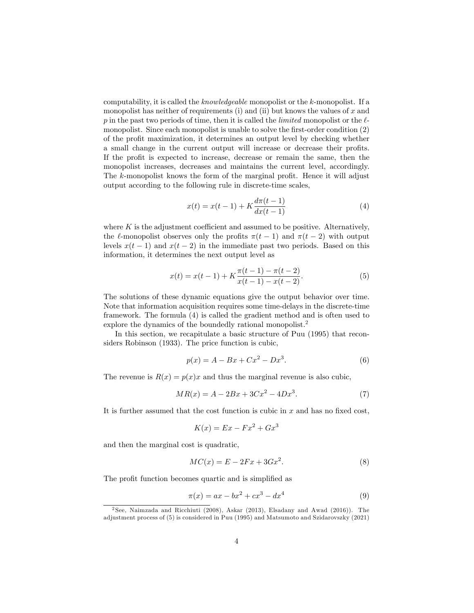computability, it is called the knowledgeable monopolist or the k-monopolist. If a monopolist has neither of requirements (i) and (ii) but knows the values of  $x$  and p in the past two periods of time, then it is called the *limited* monopolist or the  $\ell$ monopolist. Since each monopolist is unable to solve the first-order condition  $(2)$ of the profit maximization, it determines an output level by checking whether a small change in the current output will increase or decrease their profits. If the profit is expected to increase, decrease or remain the same, then the monopolist increases, decreases and maintains the current level, accordingly. The  $k$ -monopolist knows the form of the marginal profit. Hence it will adjust output according to the following rule in discrete-time scales,

$$
x(t) = x(t-1) + K \frac{d\pi(t-1)}{dx(t-1)}
$$
\n(4)

where  $K$  is the adjustment coefficient and assumed to be positive. Alternatively, the  $\ell$ -monopolist observes only the profits  $\pi(t - 1)$  and  $\pi(t - 2)$  with output levels  $x(t-1)$  and  $x(t-2)$  in the immediate past two periods. Based on this information, it determines the next output level as

$$
x(t) = x(t-1) + K \frac{\pi(t-1) - \pi(t-2)}{x(t-1) - x(t-2)}.
$$
\n(5)

The solutions of these dynamic equations give the output behavior over time. Note that information acquisition requires some time-delays in the discrete-time framework. The formula (4) is called the gradient method and is often used to explore the dynamics of the boundedly rational monopolist.<sup>2</sup>

In this section, we recapitulate a basic structure of Puu (1995) that reconsiders Robinson (1933). The price function is cubic,

$$
p(x) = A - Bx + Cx^2 - Dx^3.
$$
 (6)

The revenue is  $R(x) = p(x)x$  and thus the marginal revenue is also cubic,

$$
MR(x) = A - 2Bx + 3Cx^2 - 4Dx^3.
$$
 (7)

It is further assumed that the cost function is cubic in  $x$  and has no fixed cost,

$$
K(x) = Ex - Fx^2 + Gx^3
$$

and then the marginal cost is quadratic,

$$
MC(x) = E - 2Fx + 3Gx^2.
$$
\n<sup>(8)</sup>

The profit function becomes quartic and is simplified as

$$
\pi(x) = ax - bx^2 + cx^3 - dx^4 \tag{9}
$$

<sup>2</sup> See, Naimzada and Ricchiuti (2008), Askar (2013), Elsadany and Awad (2016)). The adjustment process of (5) is considered in Puu (1995) and Matsumoto and Szidarovszky (2021)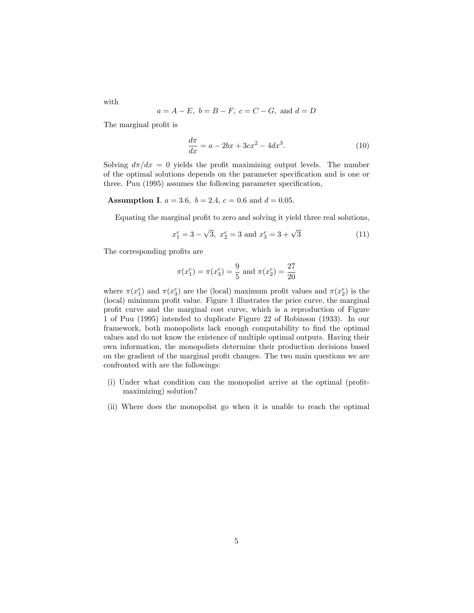$$
a = A - E
$$
,  $b = B - F$ ,  $c = C - G$ , and  $d = D$ 

The marginal profit is

$$
\frac{d\pi}{dx} = a - 2bx + 3cx^2 - 4dx^3.
$$
 (10)

Solving  $d\pi/dx = 0$  yields the profit maximizing output levels. The number of the optimal solutions depends on the parameter specification and is one or three. Puu (1995) assumes the following parameter specification,

**Assumption I.**  $a = 3.6$ ,  $b = 2.4$ ,  $c = 0.6$  and  $d = 0.05$ .

Equating the marginal profit to zero and solving it yield three real solutions,

$$
x_1^e = 3 - \sqrt{3}, \ x_2^e = 3 \text{ and } x_3^e = 3 + \sqrt{3}
$$
 (11)

The corresponding profits are

$$
\pi(x_1^e) = \pi(x_3^e) = \frac{9}{5}
$$
 and  $\pi(x_2^e) = \frac{27}{20}$ 

where  $\pi(x_1^e)$  and  $\pi(x_3^e)$  are the (local) maximum profit values and  $\pi(x_2^e)$  is the  $(local)$  minimum profit value. Figure 1 illustrates the price curve, the marginal profit curve and the marginal cost curve, which is a reproduction of Figure 1 of Puu (1995) intended to duplicate Figure 22 of Robinson (1933). In our framework, both monopolists lack enough computability to find the optimal values and do not know the existence of multiple optimal outputs. Having their own information, the monopolists determine their production decisions based on the gradient of the marginal profit changes. The two main questions we are confronted with are the followings:

- (i) Under what condition can the monopolist arrive at the optimal (profitmaximizing) solution?
- (ii) Where does the monopolist go when it is unable to reach the optimal

with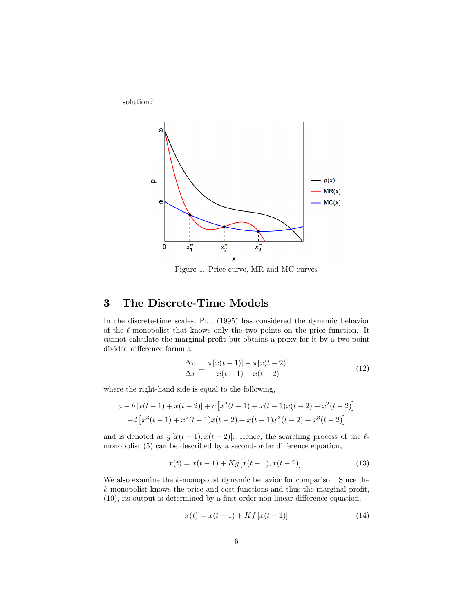

Figure 1. Price curve, MR and MC curves

# 3 The Discrete-Time Models

solution?

In the discrete-time scales, Puu (1995) has considered the dynamic behavior of the  $\ell$ -monopolist that knows only the two points on the price function. It cannot calculate the marginal profit but obtains a proxy for it by a two-point divided difference formula:

$$
\frac{\Delta \pi}{\Delta x} = \frac{\pi [x(t-1)] - \pi [x(t-2)]}{x(t-1) - x(t-2)}
$$
(12)

where the right-hand side is equal to the following,

$$
a - b[x(t-1) + x(t-2)] + c[x^{2}(t-1) + x(t-1)x(t-2) + x^{2}(t-2)]
$$
  

$$
-d[x^{3}(t-1) + x^{2}(t-1)x(t-2) + x(t-1)x^{2}(t-2) + x^{3}(t-2)]
$$

and is denoted as  $g[x(t-1), x(t-2)]$ . Hence, the searching process of the  $\ell$ monopolist  $(5)$  can be described by a second-order difference equation,

$$
x(t) = x(t-1) + Kg[x(t-1), x(t-2)].
$$
\n(13)

We also examine the k-monopolist dynamic behavior for comparison. Since the  $k$ -monopolist knows the price and cost functions and thus the marginal profit,  $(10)$ , its output is determined by a first-order non-linear difference equation,

$$
x(t) = x(t-1) + Kf[x(t-1)]
$$
\n(14)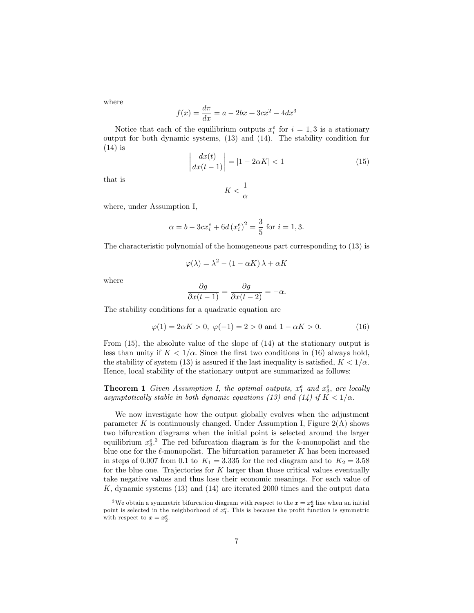where

$$
f(x) = \frac{d\pi}{dx} = a - 2bx + 3cx^2 - 4dx^3
$$

Notice that each of the equilibrium outputs  $x_i^e$  for  $i = 1, 3$  is a stationary output for both dynamic systems, (13) and (14). The stability condition for  $(14)$  is

$$
\left| \frac{dx(t)}{dx(t-1)} \right| = |1 - 2\alpha K| < 1 \tag{15}
$$

that is

$$
K<\frac{1}{\alpha}
$$

where, under Assumption I,

$$
\alpha = b - 3cx_i^e + 6d(x_i^e)^2 = \frac{3}{5}
$$
 for  $i = 1, 3$ .

The characteristic polynomial of the homogeneous part corresponding to (13) is

$$
\varphi(\lambda) = \lambda^2 - (1 - \alpha K)\lambda + \alpha K
$$

where

$$
\frac{\partial g}{\partial x(t-1)} = \frac{\partial g}{\partial x(t-2)} = -\alpha.
$$

The stability conditions for a quadratic equation are

$$
\varphi(1) = 2\alpha K > 0, \ \varphi(-1) = 2 > 0 \text{ and } 1 - \alpha K > 0. \tag{16}
$$

From (15), the absolute value of the slope of (14) at the stationary output is less than unity if  $K < 1/\alpha$ . Since the first two conditions in (16) always hold, the stability of system (13) is assured if the last inequality is satisfied,  $K < 1/\alpha$ . Hence, local stability of the stationary output are summarized as follows:

**Theorem 1** Given Assumption I, the optimal outputs,  $x_1^e$  and  $x_3^e$ , are locally asymptotically stable in both dynamic equations (13) and (14) if  $K < 1/\alpha$ .

We now investigate how the output globally evolves when the adjustment parameter K is continuously changed. Under Assumption I, Figure  $2(A)$  shows two bifurcation diagrams when the initial point is selected around the larger equilibrium  $x_3^e$ .<sup>3</sup> The red bifurcation diagram is for the k-monopolist and the blue one for the  $\ell$ -monopolist. The bifurcation parameter K has been increased in steps of 0.007 from 0.1 to  $K_1 = 3.335$  for the red diagram and to  $K_2 = 3.58$ for the blue one. Trajectories for  $K$  larger than those critical values eventually take negative values and thus lose their economic meanings. For each value of  $K$ , dynamic systems  $(13)$  and  $(14)$  are iterated 2000 times and the output data

<sup>&</sup>lt;sup>3</sup>We obtain a symmetric bifurcation diagram with respect to the  $x = x_2^e$  line when an initial point is selected in the neighborhood of  $x_1^e$ . This is because the profit function is symmetric with respect to  $x = x_2^e$ .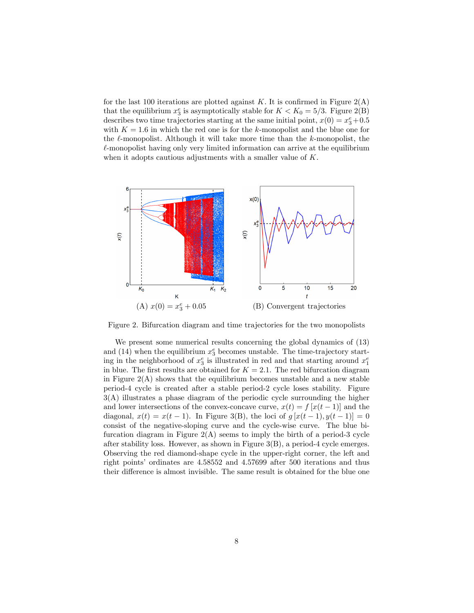for the last 100 iterations are plotted against K. It is confirmed in Figure  $2(A)$ that the equilibrium  $x_3^e$  is asymptotically stable for  $K < K_0 = 5/3$ . Figure 2(B) describes two time trajectories starting at the same initial point,  $x(0) = x_3^e + 0.5$ with  $K = 1.6$  in which the red one is for the k-monopolist and the blue one for the  $\ell$ -monopolist. Although it will take more time than the k-monopolist, the  $\ell$ -monopolist having only very limited information can arrive at the equilibrium when it adopts cautious adjustments with a smaller value of  $K$ .



Figure 2. Bifurcation diagram and time trajectories for the two monopolists

We present some numerical results concerning the global dynamics of (13) and (14) when the equilibrium  $x_3^e$  becomes unstable. The time-trajectory starting in the neighborhood of  $x_3^e$  is illustrated in red and that starting around  $x_1^e$ in blue. The first results are obtained for  $K = 2.1$ . The red bifurcation diagram in Figure  $2(A)$  shows that the equilibrium becomes unstable and a new stable period-4 cycle is created after a stable period-2 cycle loses stability. Figure 3(A) illustrates a phase diagram of the periodic cycle surrounding the higher and lower intersections of the convex-concave curve,  $x(t) = f[x(t-1)]$  and the diagonal,  $x(t) = x(t-1)$ . In Figure 3(B), the loci of  $g[x(t-1), y(t-1)] = 0$ consist of the negative-sloping curve and the cycle-wise curve. The blue bifurcation diagram in Figure  $2(A)$  seems to imply the birth of a period-3 cycle after stability loss. However, as shown in Figure 3(B), a period-4 cycle emerges. Observing the red diamond-shape cycle in the upper-right corner, the left and right points' ordinates are 4.58552 and 4.57699 after 500 iterations and thus their difference is almost invisible. The same result is obtained for the blue one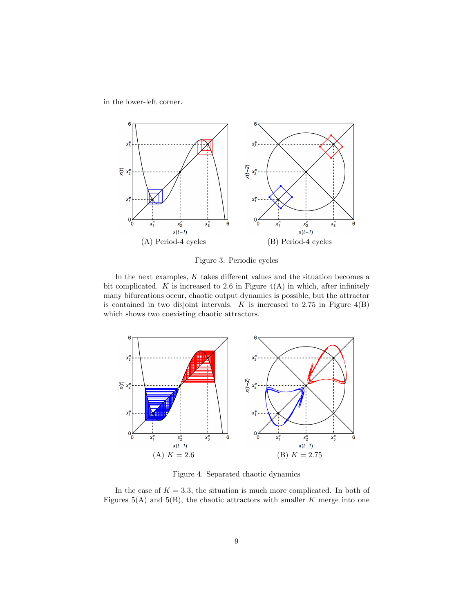in the lower-left corner.



Figure 3. Periodic cycles

In the next examples,  $K$  takes different values and the situation becomes a bit complicated. K is increased to 2.6 in Figure  $4(A)$  in which, after infinitely many bifurcations occur, chaotic output dynamics is possible, but the attractor is contained in two disjoint intervals.  $K$  is increased to 2.75 in Figure  $4(B)$ which shows two coexisting chaotic attractors.



Figure 4. Separated chaotic dynamics

In the case of  $K = 3.3$ , the situation is much more complicated. In both of Figures  $5(A)$  and  $5(B)$ , the chaotic attractors with smaller K merge into one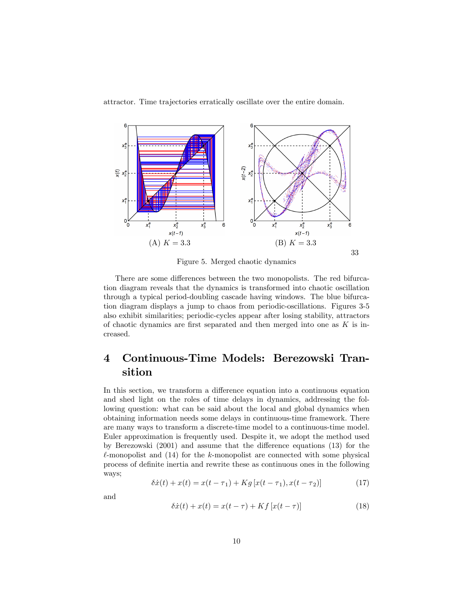attractor. Time trajectories erratically oscillate over the entire domain.



Figure 5. Merged chaotic dynamics

There are some differences between the two monopolists. The red bifurcation diagram reveals that the dynamics is transformed into chaotic oscillation through a typical period-doubling cascade having windows. The blue bifurcation diagram displays a jump to chaos from periodic-oscillations. Figures 3-5 also exhibit similarities; periodic-cycles appear after losing stability, attractors of chaotic dynamics are first separated and then merged into one as  $K$  is increased.

# 4 Continuous-Time Models: Berezowski Transition

In this section, we transform a difference equation into a continuous equation and shed light on the roles of time delays in dynamics, addressing the following question: what can be said about the local and global dynamics when obtaining information needs some delays in continuous-time framework. There are many ways to transform a discrete-time model to a continuous-time model. Euler approximation is frequently used. Despite it, we adopt the method used by Berezowski  $(2001)$  and assume that the difference equations  $(13)$  for the  $\ell$ -monopolist and (14) for the k-monopolist are connected with some physical process of definite inertia and rewrite these as continuous ones in the following ways;

$$
\delta \dot{x}(t) + x(t) = x(t - \tau_1) + Kg[x(t - \tau_1), x(t - \tau_2)] \tag{17}
$$

and

$$
\delta \dot{x}(t) + x(t) = x(t - \tau) + Kf[x(t - \tau)] \tag{18}
$$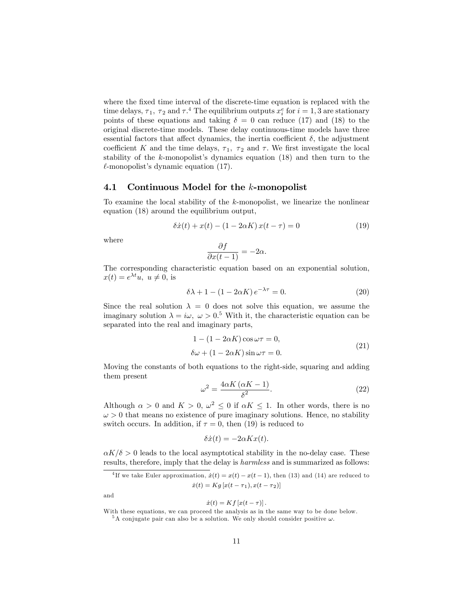where the fixed time interval of the discrete-time equation is replaced with the time delays,  $\tau_1$ ,  $\tau_2$  and  $\tau_1^4$ . The equilibrium outputs  $x_i^e$  for  $i = 1, 3$  are stationary points of these equations and taking  $\delta = 0$  can reduce (17) and (18) to the original discrete-time models. These delay continuous-time models have three essential factors that affect dynamics, the inertia coefficient  $\delta$ , the adjustment coefficient K and the time delays,  $\tau_1$ ,  $\tau_2$  and  $\tau$ . We first investigate the local stability of the  $k$ -monopolist's dynamics equation (18) and then turn to the  $\ell$ -monopolist's dynamic equation (17).

#### 4.1 Continuous Model for the k-monopolist

To examine the local stability of the k-monopolist, we linearize the nonlinear equation (18) around the equilibrium output,

$$
\delta \dot{x}(t) + x(t) - (1 - 2\alpha K) x(t - \tau) = 0 \tag{19}
$$

where

$$
\frac{\partial f}{\partial x(t-1)} = -2\alpha.
$$

The corresponding characteristic equation based on an exponential solution,  $x(t) = e^{\lambda t}u, u \neq 0$ , is

$$
\delta \lambda + 1 - (1 - 2\alpha K) e^{-\lambda \tau} = 0.
$$
 (20)

Since the real solution  $\lambda = 0$  does not solve this equation, we assume the imaginary solution  $\lambda = i\omega, \ \omega > 0.5$  With it, the characteristic equation can be separated into the real and imaginary parts,

$$
1 - (1 - 2\alpha K)\cos \omega \tau = 0,
$$
  
\n
$$
\delta\omega + (1 - 2\alpha K)\sin \omega \tau = 0.
$$
\n(21)

Moving the constants of both equations to the right-side, squaring and adding them present

$$
\omega^2 = \frac{4\alpha K \left(\alpha K - 1\right)}{\delta^2}.\tag{22}
$$

Although  $\alpha > 0$  and  $K > 0$ ,  $\omega^2 \leq 0$  if  $\alpha K \leq 1$ . In other words, there is no  $\omega > 0$  that means no existence of pure imaginary solutions. Hence, no stability switch occurs. In addition, if  $\tau = 0$ , then (19) is reduced to

$$
\delta \dot{x}(t) = -2\alpha K x(t).
$$

 $\alpha K/\delta > 0$  leads to the local asymptotical stability in the no-delay case. These results, therefore, imply that the delay is harmless and is summarized as follows:

and

#### $\dot{x}(t) = Kf [x(t - \tau)].$

<sup>&</sup>lt;sup>4</sup>If we take Euler approximation,  $\dot{x}(t) = x(t) - x(t - 1)$ , then (13) and (14) are reduced to  $\dot{x}(t) = Kg [x(t - \tau_1), x(t - \tau_2)]$ 

With these equations, we can proceed the analysis as in the same way to be done below.

 $5A$  conjugate pair can also be a solution. We only should consider positive  $\omega$ .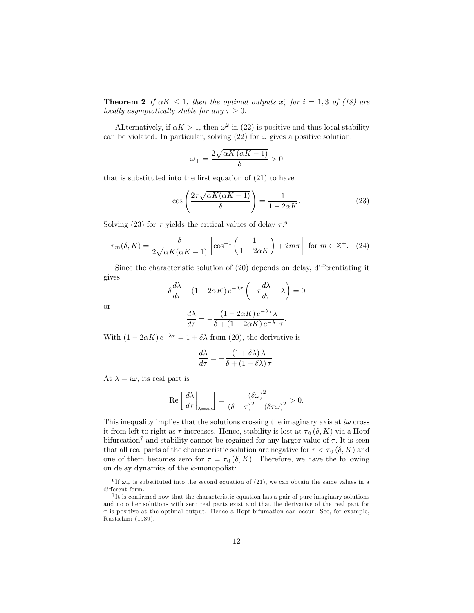**Theorem 2** If  $\alpha K \leq 1$ , then the optimal outputs  $x_i^e$  for  $i = 1, 3$  of (18) are locally asymptotically stable for any  $\tau \geq 0$ .

ALternatively, if  $\alpha K > 1$ , then  $\omega^2$  in (22) is positive and thus local stability can be violated. In particular, solving (22) for  $\omega$  gives a positive solution,

$$
\omega_{+}=\frac{2\sqrt{\alpha K\left(\alpha K-1\right)}}{\delta}>0
$$

that is substituted into the first equation of  $(21)$  to have

$$
\cos\left(\frac{2\tau\sqrt{\alpha K(\alpha K - 1)}}{\delta}\right) = \frac{1}{1 - 2\alpha K}.\tag{23}
$$

Solving (23) for  $\tau$  yields the critical values of delay  $\tau$ ,<sup>6</sup>

$$
\tau_m(\delta, K) = \frac{\delta}{2\sqrt{\alpha K(\alpha K - 1)}} \left[ \cos^{-1}\left(\frac{1}{1 - 2\alpha K}\right) + 2m\pi \right] \text{ for } m \in \mathbb{Z}^+. \tag{24}
$$

Since the characteristic solution of  $(20)$  depends on delay, differentiating it gives

$$
\delta \frac{d\lambda}{d\tau} - (1 - 2\alpha K) e^{-\lambda \tau} \left( -\tau \frac{d\lambda}{d\tau} - \lambda \right) = 0
$$

or

$$
\frac{d\lambda}{d\tau} = -\frac{\left(1-2\alpha K\right)e^{-\lambda\tau}\lambda}{\delta+\left(1-2\alpha K\right)e^{-\lambda\tau}\tau}.
$$

With  $(1 - 2\alpha K) e^{-\lambda \tau} = 1 + \delta \lambda$  from (20), the derivative is

$$
\frac{d\lambda}{d\tau} = -\frac{(1+\delta\lambda)\lambda}{\delta + (1+\delta\lambda)\tau}.
$$

At  $\lambda = i\omega$ , its real part is

$$
\operatorname{Re}\left[\left.\frac{d\lambda}{d\tau}\right|_{\lambda=i\omega}\right] = \frac{\left(\delta\omega\right)^2}{\left(\delta + \tau\right)^2 + \left(\delta\tau\omega\right)^2} > 0.
$$

This inequality implies that the solutions crossing the imaginary axis at  $i\omega$  cross it from left to right as  $\tau$  increases. Hence, stability is lost at  $\tau_0 (\delta, K)$  via a Hopf bifurcation<sup>7</sup> and stability cannot be regained for any larger value of  $\tau$ . It is seen that all real parts of the characteristic solution are negative for  $\tau < \tau_0(\delta, K)$  and one of them becomes zero for  $\tau = \tau_0(\delta, K)$ . Therefore, we have the following on delay dynamics of the k-monopolist:

<sup>&</sup>lt;sup>6</sup>If  $\omega_+$  is substituted into the second equation of (21), we can obtain the same values in a different form.

 $7$ It is confirmed now that the characteristic equation has a pair of pure imaginary solutions and no other solutions with zero real parts exist and that the derivative of the real part for  $\tau$  is positive at the optimal output. Hence a Hopf bifurcation can occur. See, for example, Rustichini (1989).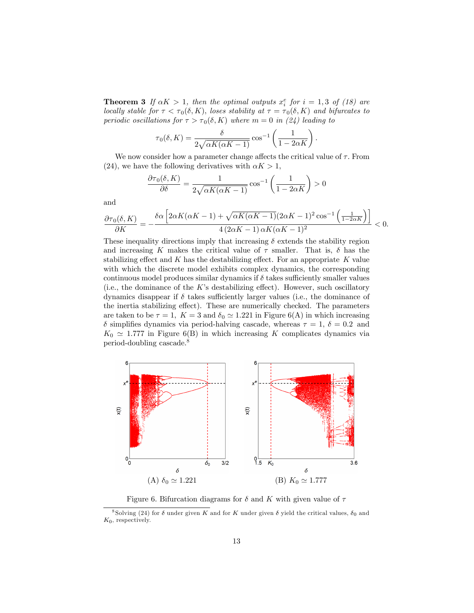**Theorem 3** If  $\alpha K > 1$ , then the optimal outputs  $x_i^e$  for  $i = 1, 3$  of (18) are locally stable for  $\tau < \tau_0(\delta, K)$ , loses stability at  $\tau = \tau_0(\delta, K)$  and bifurcates to periodic oscillations for  $\tau > \tau_0(\delta, K)$  where  $m = 0$  in (24) leading to

$$
\tau_0(\delta, K) = \frac{\delta}{2\sqrt{\alpha K(\alpha K - 1)}} \cos^{-1}\left(\frac{1}{1 - 2\alpha K}\right)
$$

:

We now consider how a parameter change affects the critical value of  $\tau$ . From (24), we have the following derivatives with  $\alpha K > 1$ ,

$$
\frac{\partial \tau_0(\delta, K)}{\partial \delta} = \frac{1}{2\sqrt{\alpha K(\alpha K - 1)}} \cos^{-1} \left( \frac{1}{1 - 2\alpha K} \right) > 0
$$

and

$$
\frac{\partial \tau_0(\delta,K)}{\partial K} = -\frac{\delta \alpha \left[2 \alpha K (\alpha K -1) + \sqrt{\alpha K (\alpha K -1)}(2 \alpha K -1)^2 \cos ^{-1}\left(\frac{1}{1-2 \alpha K}\right)\right]}{4 \left(2 \alpha K -1\right) \alpha K (\alpha K -1)^2} < 0.
$$

These inequality directions imply that increasing  $\delta$  extends the stability region and increasing K makes the critical value of  $\tau$  smaller. That is,  $\delta$  has the stabilizing effect and  $K$  has the destabilizing effect. For an appropriate  $K$  value with which the discrete model exhibits complex dynamics, the corresponding continuous model produces similar dynamics if  $\delta$  takes sufficiently smaller values (i.e., the dominance of the  $K$ 's destabilizing effect). However, such oscillatory dynamics disappear if  $\delta$  takes sufficiently larger values (i.e., the dominance of the inertia stabilizing effect). These are numerically checked. The parameters are taken to be  $\tau = 1$ ,  $K = 3$  and  $\delta_0 \simeq 1.221$  in Figure 6(A) in which increasing  $\delta$  simplifies dynamics via period-halving cascade, whereas  $\tau = 1, \delta = 0.2$  and  $K_0 \simeq 1.777$  in Figure 6(B) in which increasing K complicates dynamics via period-doubling cascade.<sup>8</sup>



Figure 6. Bifurcation diagrams for  $\delta$  and K with given value of  $\tau$ 

<sup>&</sup>lt;sup>8</sup> Solving (24) for  $\delta$  under given K and for K under given  $\delta$  yield the critical values,  $\delta_0$  and  $K_0$ , respectively.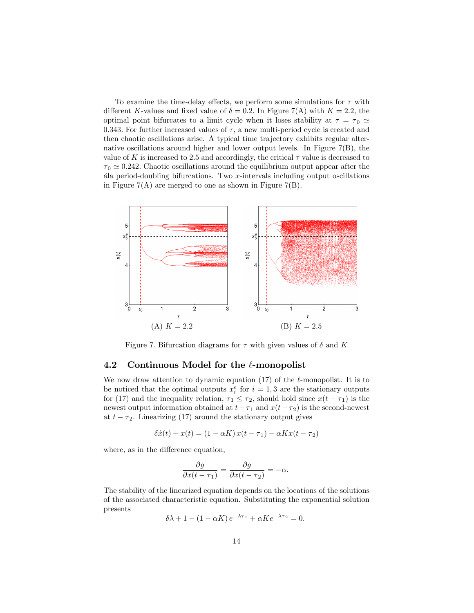To examine the time-delay effects, we perform some simulations for  $\tau$  with different K-values and fixed value of  $\delta = 0.2$ . In Figure 7(A) with  $K = 2.2$ , the optimal point bifurcates to a limit cycle when it loses stability at  $\tau = \tau_0 \simeq$ 0.343. For further increased values of  $\tau$ , a new multi-period cycle is created and then chaotic oscillations arise. A typical time trajectory exhibits regular alternative oscillations around higher and lower output levels. In Figure 7(B), the value of K is increased to 2.5 and accordingly, the critical  $\tau$  value is decreased to  $\tau_0 \simeq 0.242$ . Chaotic oscillations around the equilibrium output appear after the ala period-doubling bifurcations. Two  $x$ -intervals including output oscillations in Figure  $7(A)$  are merged to one as shown in Figure  $7(B)$ .



Figure 7. Bifurcation diagrams for  $\tau$  with given values of  $\delta$  and K

#### 4.2 Continuous Model for the  $\ell$ -monopolist

We now draw attention to dynamic equation (17) of the  $\ell$ -monopolist. It is to be noticed that the optimal outputs  $x_i^e$  for  $i = 1, 3$  are the stationary outputs for (17) and the inequality relation,  $\tau_1 \leq \tau_2$ , should hold since  $x(t - \tau_1)$  is the newest output information obtained at  $t - \tau_1$  and  $x(t - \tau_2)$  is the second-newest at  $t - \tau_2$ . Linearizing (17) around the stationary output gives

$$
\delta \dot{x}(t) + x(t) = (1 - \alpha K) x(t - \tau_1) - \alpha K x(t - \tau_2)
$$

where, as in the difference equation,

$$
\frac{\partial g}{\partial x(t-\tau_1)} = \frac{\partial g}{\partial x(t-\tau_2)} = -\alpha.
$$

The stability of the linearized equation depends on the locations of the solutions of the associated characteristic equation. Substituting the exponential solution presents

$$
\delta\lambda + 1 - (1 - \alpha K) e^{-\lambda \tau_1} + \alpha K e^{-\lambda \tau_2} = 0.
$$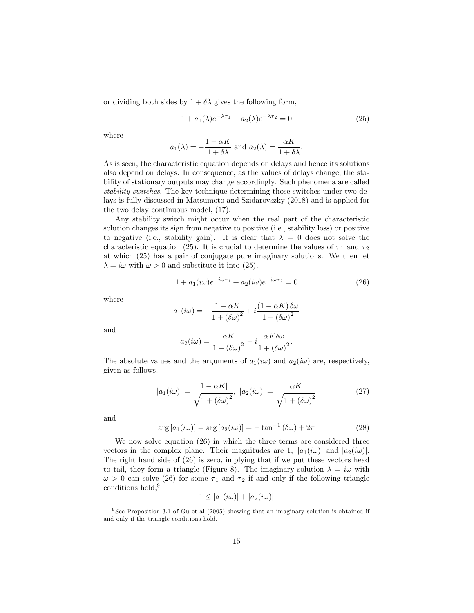or dividing both sides by  $1 + \delta \lambda$  gives the following form,

$$
1 + a_1(\lambda)e^{-\lambda \tau_1} + a_2(\lambda)e^{-\lambda \tau_2} = 0 \tag{25}
$$

where

$$
a_1(\lambda) = -\frac{1 - \alpha K}{1 + \delta \lambda}
$$
 and  $a_2(\lambda) = \frac{\alpha K}{1 + \delta \lambda}$ .

As is seen, the characteristic equation depends on delays and hence its solutions also depend on delays. In consequence, as the values of delays change, the stability of stationary outputs may change accordingly. Such phenomena are called stability switches. The key technique determining those switches under two delays is fully discussed in Matsumoto and Szidarovszky (2018) and is applied for the two delay continuous model, (17).

Any stability switch might occur when the real part of the characteristic solution changes its sign from negative to positive (i.e., stability loss) or positive to negative (i.e., stability gain). It is clear that  $\lambda = 0$  does not solve the characteristic equation (25). It is crucial to determine the values of  $\tau_1$  and  $\tau_2$ at which (25) has a pair of conjugate pure imaginary solutions. We then let  $\lambda = i\omega$  with  $\omega > 0$  and substitute it into (25),

$$
1 + a_1(i\omega)e^{-i\omega\tau_1} + a_2(i\omega)e^{-i\omega\tau_2} = 0
$$
\n(26)

where

$$
a_1(i\omega) = -\frac{1 - \alpha K}{1 + (\delta \omega)^2} + i \frac{(1 - \alpha K)\delta \omega}{1 + (\delta \omega)^2}
$$

and

$$
a_2(i\omega) = \frac{\alpha K}{1 + (\delta \omega)^2} - i \frac{\alpha K \delta \omega}{1 + (\delta \omega)^2}.
$$

The absolute values and the arguments of  $a_1(i\omega)$  and  $a_2(i\omega)$  are, respectively, given as follows,

$$
|a_1(i\omega)| = \frac{|1 - \alpha K|}{\sqrt{1 + (\delta\omega)^2}}, \ |a_2(i\omega)| = \frac{\alpha K}{\sqrt{1 + (\delta\omega)^2}}
$$
(27)

and

$$
\arg\left[a_1(i\omega)\right] = \arg\left[a_2(i\omega)\right] = -\tan^{-1}\left(\delta\omega\right) + 2\pi\tag{28}
$$

We now solve equation (26) in which the three terms are considered three vectors in the complex plane. Their magnitudes are 1,  $|a_1(i\omega)|$  and  $|a_2(i\omega)|$ . The right hand side of (26) is zero, implying that if we put these vectors head to tail, they form a triangle (Figure 8). The imaginary solution  $\lambda = i\omega$  with  $\omega > 0$  can solve (26) for some  $\tau_1$  and  $\tau_2$  if and only if the following triangle conditions hold,<sup>9</sup>

$$
1 \le |a_1(i\omega)| + |a_2(i\omega)|
$$

<sup>&</sup>lt;sup>9</sup> See Proposition 3.1 of Gu et al  $(2005)$  showing that an imaginary solution is obtained if and only if the triangle conditions hold.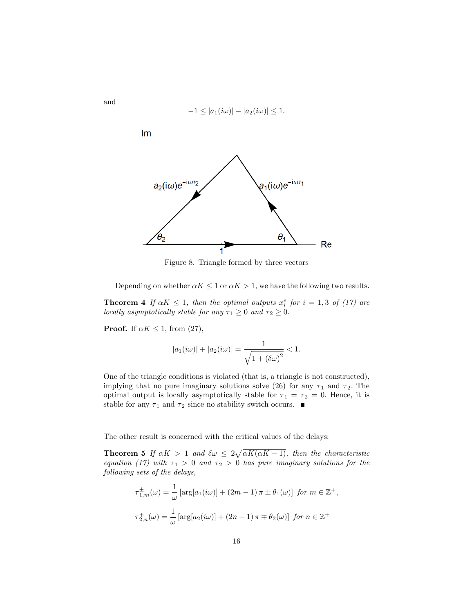

Figure 8. Triangle formed by three vectors

Depending on whether  $\alpha K \leq 1$  or  $\alpha K > 1$ , we have the following two results.

**Theorem 4** If  $\alpha K \leq 1$ , then the optimal outputs  $x_i^e$  for  $i = 1, 3$  of (17) are locally asymptotically stable for any  $\tau_1 \geq 0$  and  $\tau_2 \geq 0$ .

**Proof.** If  $\alpha K \leq 1$ , from (27),

$$
|a_1(i\omega)| + |a_2(i\omega)| = \frac{1}{\sqrt{1 + (\delta\omega)^2}} < 1.
$$

One of the triangle conditions is violated (that is, a triangle is not constructed), implying that no pure imaginary solutions solve (26) for any  $\tau_1$  and  $\tau_2$ . The optimal output is locally asymptotically stable for  $\tau_1 = \tau_2 = 0$ . Hence, it is stable for any  $\tau_1$  and  $\tau_2$  since no stability switch occurs.  $\blacksquare$ 

The other result is concerned with the critical values of the delays:

**Theorem 5** If  $\alpha K > 1$  and  $\delta \omega \leq 2\sqrt{\alpha K(\alpha K - 1)}$ , then the characteristic equation (17) with  $\tau_1 > 0$  and  $\tau_2 > 0$  has pure imaginary solutions for the following sets of the delays,

$$
\tau_{1,m}^{\pm}(\omega) = \frac{1}{\omega} \left[ \arg[a_1(i\omega)] + (2m - 1)\pi \pm \theta_1(\omega) \right] \text{ for } m \in \mathbb{Z}^+,
$$
  

$$
\tau_{2,n}^{\mp}(\omega) = \frac{1}{\omega} \left[ \arg[a_2(i\omega)] + (2n - 1)\pi \mp \theta_2(\omega) \right] \text{ for } n \in \mathbb{Z}^+
$$

and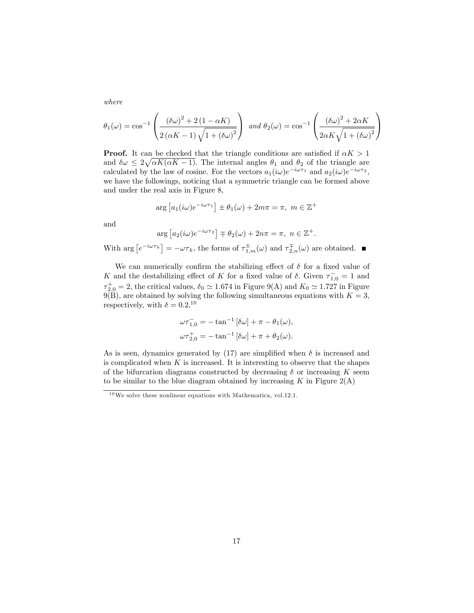where

$$
\theta_1(\omega) = \cos^{-1}\left(\frac{(\delta\omega)^2 + 2(1 - \alpha K)}{2(\alpha K - 1)\sqrt{1 + (\delta\omega)^2}}\right) \text{ and } \theta_2(\omega) = \cos^{-1}\left(\frac{(\delta\omega)^2 + 2\alpha K}{2\alpha K\sqrt{1 + (\delta\omega)^2}}\right)
$$

**Proof.** It can be checked that the triangle conditions are satisfied if  $\alpha K > 1$ and  $\delta \omega \leq 2\sqrt{\alpha K(\alpha K - 1)}$ . The internal angles  $\theta_1$  and  $\theta_2$  of the triangle are calculated by the law of cosine. For the vectors  $a_1(i\omega)e^{-i\omega\tau_1}$  and  $a_2(i\omega)e^{-i\omega\tau_2}$ , we have the followings, noticing that a symmetric triangle can be formed above and under the real axis in Figure 8,

$$
\arg [a_1(i\omega)e^{-i\omega\tau_1}] \pm \theta_1(\omega) + 2m\pi = \pi, \ m \in \mathbb{Z}^+
$$

and

$$
\arg [a_2(i\omega)e^{-i\omega\tau_2}] \mp \theta_2(\omega) + 2n\pi = \pi, \ n \in \mathbb{Z}^+.
$$

With  $\arg\left[e^{-i\omega\tau_k}\right] = -\omega\tau_k$ , the forms of  $\tau_{1,m}^{\pm}(\omega)$  and  $\tau_{2,n}^{\mp}(\omega)$  are obtained.

We can numerically confirm the stabilizing effect of  $\delta$  for a fixed value of K and the destabilizing effect of K for a fixed value of  $\delta$ . Given  $\tau_{1,0}^- = 1$  and  $\tau_{2,0}^+=2$ , the critical values,  $\delta_0 \simeq 1.674$  in Figure 9(A) and  $K_0 \simeq 1.727$  in Figure  $9(B)$ , are obtained by solving the following simultaneous equations with  $K = 3$ , respectively, with  $\delta = 0.2, 10$ 

$$
\omega \tau_{1,0}^- = -\tan^{-1} [\delta \omega] + \pi - \theta_1(\omega),
$$
  

$$
\omega \tau_{2,0}^+ = -\tan^{-1} [\delta \omega] + \pi + \theta_2(\omega).
$$

As is seen, dynamics generated by (17) are simplified when  $\delta$  is increased and is complicated when  $K$  is increased. It is interesting to observe that the shapes of the bifurcation diagrams constructed by decreasing  $\delta$  or increasing K seem to be similar to the blue diagram obtained by increasing K in Figure  $2(A)$ 

 $10$  We solve these nonlinear equations with Mathematica, vol.12.1.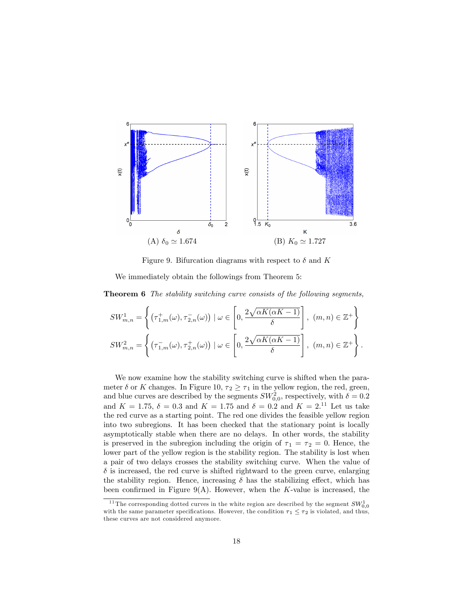

Figure 9. Bifurcation diagrams with respect to  $\delta$  and K

We immediately obtain the followings from Theorem 5:

**Theorem 6** The stability switching curve consists of the following segments,

$$
SW_{m,n}^1 = \left\{ \left( \tau_{1,m}^+(\omega), \tau_{2,n}^-(\omega) \right) \mid \omega \in \left[ 0, \frac{2\sqrt{\alpha K(\alpha K - 1)}}{\delta} \right], (m, n) \in \mathbb{Z}^+ \right\}
$$
  

$$
SW_{m,n}^2 = \left\{ \left( \tau_{1,m}^-(\omega), \tau_{2,n}^+(\omega) \right) \mid \omega \in \left[ 0, \frac{2\sqrt{\alpha K(\alpha K - 1)}}{\delta} \right], (m, n) \in \mathbb{Z}^+ \right\}.
$$

We now examine how the stability switching curve is shifted when the parameter  $\delta$  or K changes. In Figure 10,  $\tau_2 \geq \tau_1$  in the yellow region, the red, green, and blue curves are described by the segments  $SW_{0,0}^2$ , respectively, with  $\delta = 0.2$ and  $K = 1.75, \delta = 0.3$  and  $K = 1.75$  and  $\delta = 0.2$  and  $K = 2.11$  Let us take the red curve as a starting point. The red one divides the feasible yellow region into two subregions. It has been checked that the stationary point is locally asymptotically stable when there are no delays. In other words, the stability is preserved in the subregion including the origin of  $\tau_1 = \tau_2 = 0$ . Hence, the lower part of the yellow region is the stability region. The stability is lost when a pair of two delays crosses the stability switching curve. When the value of  $\delta$  is increased, the red curve is shifted rightward to the green curve, enlarging the stability region. Hence, increasing  $\delta$  has the stabilizing effect, which has been confirmed in Figure 9(A). However, when the K-value is increased, the

<sup>&</sup>lt;sup>11</sup> The corresponding dotted curves in the white region are described by the segment  $SW_{0,0}^1$ with the same parameter specifications. However, the condition  $\tau_1 \leq \tau_2$  is violated, and thus, these curves are not considered anymore.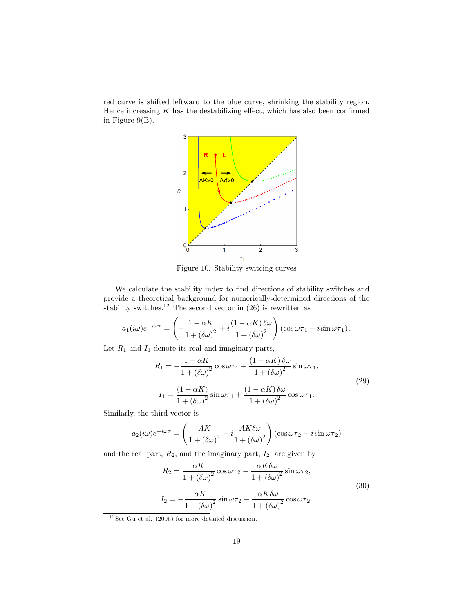red curve is shifted leftward to the blue curve, shrinking the stability region. Hence increasing  $K$  has the destabilizing effect, which has also been confirmed in Figure  $9(B)$ .



Figure 10. Stability switcing curves

We calculate the stability index to find directions of stability switches and provide a theoretical background for numerically-determined directions of the stability switches.<sup>12</sup> The second vector in  $(26)$  is rewritten as

$$
a_1(i\omega)e^{-i\omega\tau} = \left(-\frac{1-\alpha K}{1+\left(\delta\omega\right)^2} + i\frac{\left(1-\alpha K\right)\delta\omega}{1+\left(\delta\omega\right)^2}\right)\left(\cos\omega\tau_1 - i\sin\omega\tau_1\right).
$$

Let  $R_1$  and  $I_1$  denote its real and imaginary parts,

$$
R_1 = -\frac{1 - \alpha K}{1 + (\delta \omega)^2} \cos \omega \tau_1 + \frac{(1 - \alpha K) \delta \omega}{1 + (\delta \omega)^2} \sin \omega \tau_1,
$$
  
\n
$$
I_1 = \frac{(1 - \alpha K)}{1 + (\delta \omega)^2} \sin \omega \tau_1 + \frac{(1 - \alpha K) \delta \omega}{1 + (\delta \omega)^2} \cos \omega \tau_1.
$$
\n(29)

Similarly, the third vector is

$$
a_2(i\omega)e^{-i\omega\tau} = \left(\frac{AK}{1 + (\delta\omega)^2} - i\frac{AK\delta\omega}{1 + (\delta\omega)^2}\right)(\cos\omega\tau_2 - i\sin\omega\tau_2)
$$

and the real part,  $R_2$ , and the imaginary part,  $I_2$ , are given by

$$
R_2 = \frac{\alpha K}{1 + (\delta \omega)^2} \cos \omega \tau_2 - \frac{\alpha K \delta \omega}{1 + (\delta \omega)^2} \sin \omega \tau_2,
$$
  
\n
$$
I_2 = -\frac{\alpha K}{1 + (\delta \omega)^2} \sin \omega \tau_2 - \frac{\alpha K \delta \omega}{1 + (\delta \omega)^2} \cos \omega \tau_2.
$$
\n(30)

 $12$  See Gu et al. (2005) for more detailed discussion.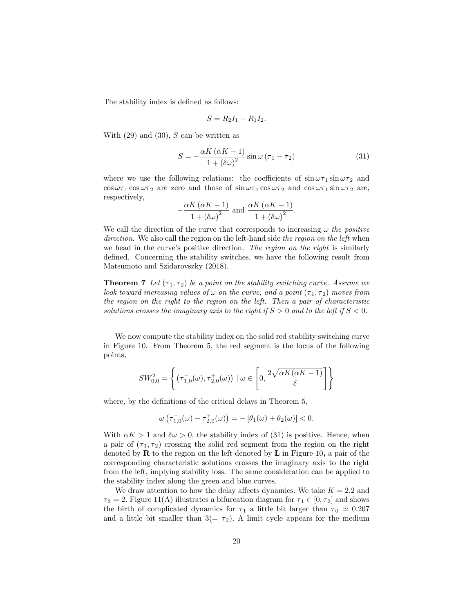The stability index is defined as follows:

$$
S=R_2I_1-R_1I_2.
$$

With  $(29)$  and  $(30)$ , S can be written as

 $\overline{\phantom{a}}$ 

$$
S = -\frac{\alpha K \left(\alpha K - 1\right)}{1 + \left(\delta \omega\right)^2} \sin \omega \left(\tau_1 - \tau_2\right) \tag{31}
$$

where we use the following relations: the coefficients of  $\sin \omega \tau_1 \sin \omega \tau_2$  and  $\cos \omega \tau_1 \cos \omega \tau_2$  are zero and those of  $\sin \omega \tau_1 \cos \omega \tau_2$  and  $\cos \omega \tau_1 \sin \omega \tau_2$  are, respectively,

$$
\frac{\alpha K \left(\alpha K - 1\right)}{1 + \left(\delta \omega\right)^2} \text{ and } \frac{\alpha K \left(\alpha K - 1\right)}{1 + \left(\delta \omega\right)^2}.
$$

We call the direction of the curve that corresponds to increasing  $\omega$  the positive direction. We also call the region on the left-hand side the region on the left when we head in the curve's positive direction. The region on the right is similarly defined. Concerning the stability switches, we have the following result from Matsumoto and Szidarovszky (2018).

**Theorem 7** Let  $(\tau_1, \tau_2)$  be a point on the stability switching curve. Assume we look toward increasing values of  $\omega$  on the curve, and a point  $(\tau_1, \tau_2)$  moves from the region on the right to the region on the left. Then a pair of characteristic solutions crosses the imaginary axis to the right if  $S > 0$  and to the left if  $S < 0$ .

We now compute the stability index on the solid red stability switching curve in Figure 10. From Theorem 5, the red segment is the locus of the following points,

$$
SW_{0,0}^{2} = \left\{ \left( \tau_{1,0}^{-}(\omega), \tau_{2,0}^{+}(\omega) \right) \mid \omega \in \left[ 0, \frac{2\sqrt{\alpha K(\alpha K - 1)}}{\delta} \right] \right\}
$$

where, by the definitions of the critical delays in Theorem 5,

$$
\omega\left(\tau_{1,0}^{-}(\omega)-\tau_{2,0}^{+}(\omega)\right)=-\left[\theta_{1}(\omega)+\theta_{2}(\omega)\right]<0.
$$

With  $\alpha K > 1$  and  $\delta \omega > 0$ , the stability index of (31) is positive. Hence, when a pair of  $(\tau_1, \tau_2)$  crossing the solid red segment from the region on the right denoted by  $\bf{R}$  to the region on the left denoted by  $\bf{L}$  in Figure 10, a pair of the corresponding characteristic solutions crosses the imaginary axis to the right from the left, implying stability loss. The same consideration can be applied to the stability index along the green and blue curves.

We draw attention to how the delay affects dynamics. We take  $K = 2.2$  and  $\tau_2 = 2$ . Figure 11(A) illustrates a bifurcation diagram for  $\tau_1 \in [0, \tau_2]$  and shows the birth of complicated dynamics for  $\tau_1$  a little bit larger than  $\tau_0 \simeq 0.207$ and a little bit smaller than  $3(=\tau_2)$ . A limit cycle appears for the medium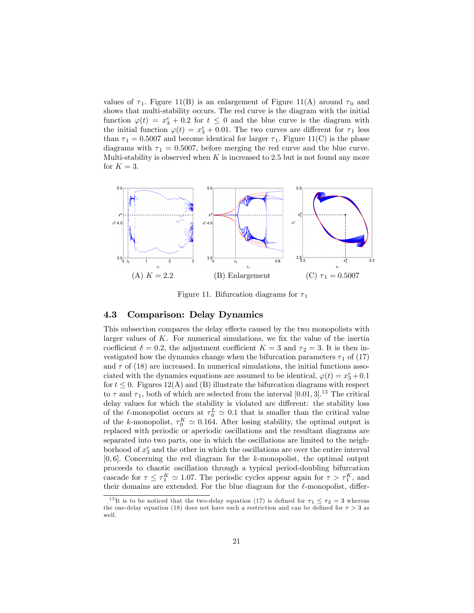values of  $\tau_1$ . Figure 11(B) is an enlargement of Figure 11(A) around  $\tau_0$  and shows that multi-stability occurs. The red curve is the diagram with the initial function  $\varphi(t) = x_3^e + 0.2$  for  $t \leq 0$  and the blue curve is the diagram with the initial function  $\varphi(t) = x_3^e + 0.01$ . The two curves are different for  $\tau_1$  less than  $\tau_1 = 0.5007$  and become identical for larger  $\tau_1$ . Figure 11(C) is the phase diagrams with  $\tau_1 = 0.5007$ , before merging the red curve and the blue curve. Multi-stability is observed when  $K$  is increased to 2.5 but is not found any more for  $K = 3$ .



Figure 11. Bifurcation diagrams for  $\tau_1$ 

### 4.3 Comparison: Delay Dynamics

This subsection compares the delay effects caused by the two monopolists with larger values of  $K$ . For numerical simulations, we fix the value of the inertia coefficient  $\delta = 0.2$ , the adjustment coefficient  $K = 3$  and  $\tau_2 = 3$ . It is then investigated how the dynamics change when the bifurcation parameters  $\tau_1$  of (17) and  $\tau$  of (18) are increased. In numerical simulations, the initial functions associated with the dynamics equations are assumed to be identical,  $\varphi(t) = x_3^e + 0.1$ for  $t \leq 0$ . Figures 12(A) and (B) illustrate the bifurcation diagrams with respect to  $\tau$  and  $\tau_1$ , both of which are selected from the interval [0.01, 3]<sup>13</sup> The critical delay values for which the stability is violated are different: the stability loss of the  $\ell$ -monopolist occurs at  $\tau_0^L \simeq 0.1$  that is smaller than the critical value of the k-monopolist,  $\tau_0^K \simeq 0.164$ . After losing stability, the optimal output is replaced with periodic or aperiodic oscillations and the resultant diagrams are separated into two parts, one in which the oscillations are limited to the neighborhood of  $x_3^e$  and the other in which the oscillations are over the entire interval  $[0, 6]$ . Concerning the red diagram for the k-monopolist, the optimal output proceeds to chaotic oscillation through a typical period-doubling bifurcation cascade for  $\tau \leq \tau_1^K \simeq 1.07$ . The periodic cycles appear again for  $\tau > \tau_1^K$ , and their domains are extended. For the blue diagram for the  $\ell$ -monopolist, differ-

<sup>&</sup>lt;sup>13</sup>It is to be noticed that the two-delay equation (17) is defined for  $\tau_1 \le \tau_2 = 3$  whereas the one-delay equation (18) does not have such a restriction and can be defined for  $\tau > 3$  as well.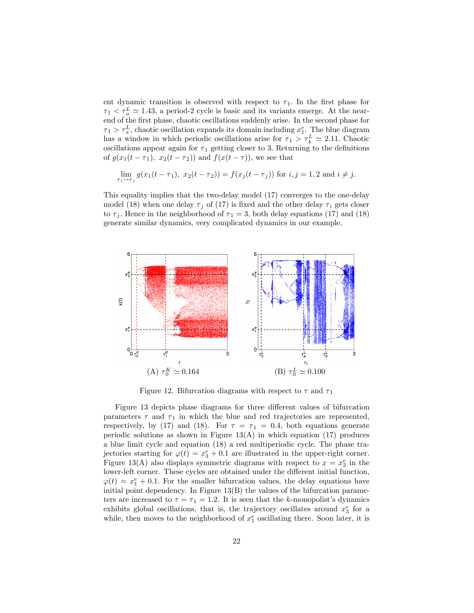ent dynamic transition is observed with respect to  $\tau_1$ . In the first phase for  $\tau_1 < \tau_a^L \simeq 1.43$ , a period-2 cycle is basic and its variants emerge. At the nearend of the first phase, chaotic oscillations suddenly arise. In the second phase for  $\tau_1 > \tau_a^L$ , chaotic oscillation expands its domain including  $x_1^e$ . The blue diagram has a window in which periodic oscillations arise for  $\tau_1 > \tau_b^L \simeq 2.11$ . Chaotic oscillations appear again for  $\tau_1$  getting closer to 3. Returning to the definitions of  $g(x_1(t - \tau_1), x_2(t - \tau_2))$  and  $f(x(t - \tau))$ , we see that

$$
\lim_{\tau_i \to \tau_j} g(x_1(t - \tau_1), x_2(t - \tau_2)) = f(x_j(t - \tau_j)) \text{ for } i, j = 1, 2 \text{ and } i \neq j.
$$

This equality implies that the two-delay model (17) converges to the one-delay model (18) when one delay  $\tau_i$  of (17) is fixed and the other delay  $\tau_i$  gets closer to  $\tau_i$ . Hence in the neighborhood of  $\tau_1 = 3$ , both delay equations (17) and (18) generate similar dynamics, very complicated dynamics in our example.



Figure 12. Bifurcation diagrams with respect to  $\tau$  and  $\tau_1$ 

Figure 13 depicts phase diagrams for three different values of bifurcation parameters  $\tau$  and  $\tau_1$  in which the blue and red trajectories are represented, respectively, by (17) and (18). For  $\tau = \tau_1 = 0.4$ , both equations generate periodic solutions as shown in Figure  $13(A)$  in which equation (17) produces a blue limit cycle and equation (18) a red multiperiodic cycle. The phase trajectories starting for  $\varphi(t) = x_3^e + 0.1$  are illustrated in the upper-right corner. Figure 13(A) also displays symmetric diagrams with respect to  $x = x_2^e$  in the lower-left corner. These cycles are obtained under the different initial function,  $\varphi(t) = x_1^e + 0.1$ . For the smaller bifurcation values, the delay equations have initial point dependency. In Figure 13(B) the values of the bifurcation parameters are increased to  $\tau = \tau_1 = 1.2$ . It is seen that the k-monopolist's dynamics exhibits global oscillations, that is, the trajectory oscillates around  $x_3^e$  for a while, then moves to the neighborhood of  $x_1^e$  oscillating there. Soon later, it is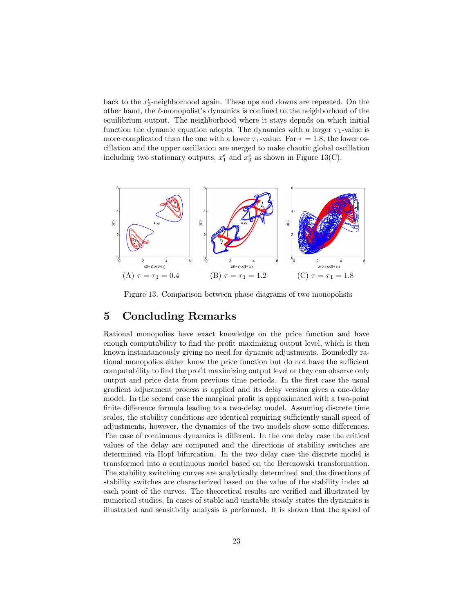back to the  $x_3^e$ -neighborhood again. These ups and downs are repeated. On the other hand, the  $\ell$ -monopolist's dynamics is confined to the neighborhood of the equilibrium output. The neighborhood where it stays depnds on which initial function the dynamic equation adopts. The dynamics with a larger  $\tau_1$ -value is more complicated than the one with a lower  $\tau_1$ -value. For  $\tau = 1.8$ , the lower oscillation and the upper oscillation are merged to make chaotic global oscillation including two stationary outputs,  $x_1^e$  and  $x_3^e$  as shown in Figure 13(C).



Figure 13. Comparison between phase diagrams of two monopolists

## 5 Concluding Remarks

Rational monopolies have exact knowledge on the price function and have enough computability to find the profit maximizing output level, which is then known instantaneously giving no need for dynamic adjustments. Boundedly rational monopolies either know the price function but do not have the sufficient computability to find the profit maximizing output level or they can observe only output and price data from previous time periods. In the Örst case the usual gradient adjustment process is applied and its delay version gives a one-delay model. In the second case the marginal profit is approximated with a two-point finite difference formula leading to a two-delay model. Assuming discrete time scales, the stability conditions are identical requiring sufficiently small speed of adjustments, however, the dynamics of the two models show some differences. The case of continuous dynamics is different. In the one delay case the critical values of the delay are computed and the directions of stability switches are determined via Hopf bifurcation. In the two delay case the discrete model is transformed into a continuous model based on the Berezowski transformation. The stability switching curves are analytically determined and the directions of stability switches are characterized based on the value of the stability index at each point of the curves. The theoretical results are verified and illustrated by numerical studies, In cases of stable and unstable steady states the dynamics is illustrated and sensitivity analysis is performed. It is shown that the speed of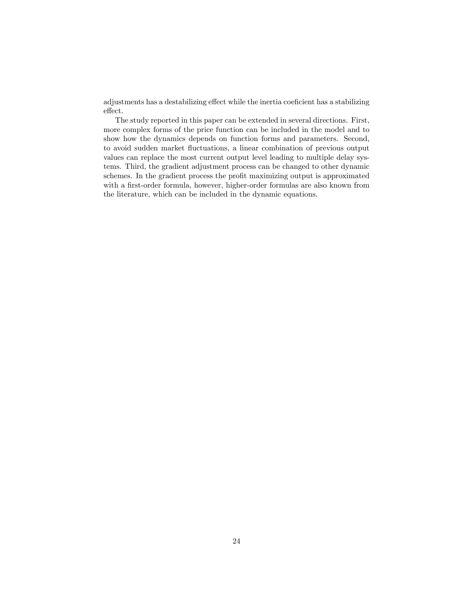adjustments has a destabilizing effect while the inertia coeficient has a stabilizing  ${\rm effect}.$ 

The study reported in this paper can be extended in several directions. First, more complex forms of the price function can be included in the model and to show how the dynamics depends on function forms and parameters. Second, to avoid sudden market fluctuations, a linear combination of previous output values can replace the most current output level leading to multiple delay systems. Third, the gradient adjustment process can be changed to other dynamic schemes. In the gradient process the profit maximizing output is approximated with a first-order formula, however, higher-order formulas are also known from the literature, which can be included in the dynamic equations.